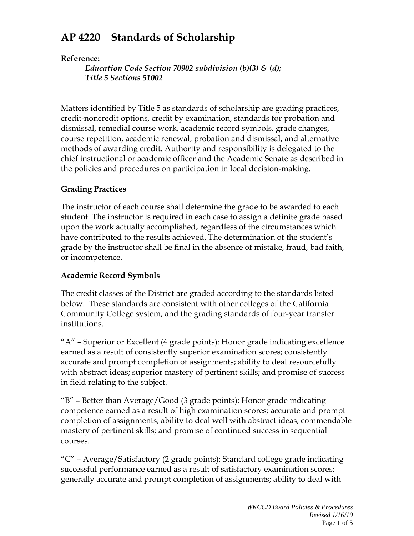# **AP 4220 Standards of Scholarship**

#### **Reference:**

*Education Code Section 70902 subdivision (b)(3) & (d); Title 5 Sections 51002*

Matters identified by Title 5 as standards of scholarship are grading practices, credit-noncredit options, credit by examination, standards for probation and dismissal, remedial course work, academic record symbols, grade changes, course repetition, academic renewal, probation and dismissal, and alternative methods of awarding credit. Authority and responsibility is delegated to the chief instructional or academic officer and the Academic Senate as described in the policies and procedures on participation in local decision-making.

### **Grading Practices**

The instructor of each course shall determine the grade to be awarded to each student. The instructor is required in each case to assign a definite grade based upon the work actually accomplished, regardless of the circumstances which have contributed to the results achieved. The determination of the student's grade by the instructor shall be final in the absence of mistake, fraud, bad faith, or incompetence.

#### **Academic Record Symbols**

The credit classes of the District are graded according to the standards listed below. These standards are consistent with other colleges of the California Community College system, and the grading standards of four-year transfer institutions.

"A" – Superior or Excellent (4 grade points): Honor grade indicating excellence earned as a result of consistently superior examination scores; consistently accurate and prompt completion of assignments; ability to deal resourcefully with abstract ideas; superior mastery of pertinent skills; and promise of success in field relating to the subject.

"B" – Better than Average/Good (3 grade points): Honor grade indicating competence earned as a result of high examination scores; accurate and prompt completion of assignments; ability to deal well with abstract ideas; commendable mastery of pertinent skills; and promise of continued success in sequential courses.

"C" – Average/Satisfactory (2 grade points): Standard college grade indicating successful performance earned as a result of satisfactory examination scores; generally accurate and prompt completion of assignments; ability to deal with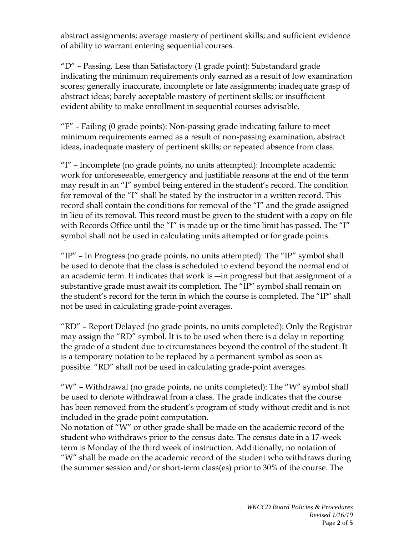abstract assignments; average mastery of pertinent skills; and sufficient evidence of ability to warrant entering sequential courses.

"D" – Passing, Less than Satisfactory (1 grade point): Substandard grade indicating the minimum requirements only earned as a result of low examination scores; generally inaccurate, incomplete or late assignments; inadequate grasp of abstract ideas; barely acceptable mastery of pertinent skills; or insufficient evident ability to make enrollment in sequential courses advisable.

"F" – Failing (0 grade points): Non-passing grade indicating failure to meet minimum requirements earned as a result of non-passing examination, abstract ideas, inadequate mastery of pertinent skills; or repeated absence from class.

"I" – Incomplete (no grade points, no units attempted): Incomplete academic work for unforeseeable, emergency and justifiable reasons at the end of the term may result in an "I" symbol being entered in the student's record. The condition for removal of the "I" shall be stated by the instructor in a written record. This record shall contain the conditions for removal of the "I" and the grade assigned in lieu of its removal. This record must be given to the student with a copy on file with Records Office until the "I" is made up or the time limit has passed. The "I" symbol shall not be used in calculating units attempted or for grade points.

" $IP"$  – In Progress (no grade points, no units attempted): The " $IP"$  symbol shall be used to denote that the class is scheduled to extend beyond the normal end of an academic term. It indicates that work is ―in progress‖ but that assignment of a substantive grade must await its completion. The "IP" symbol shall remain on the student's record for the term in which the course is completed. The "IP" shall not be used in calculating grade-point averages.

"RD" – Report Delayed (no grade points, no units completed): Only the Registrar may assign the "RD" symbol. It is to be used when there is a delay in reporting the grade of a student due to circumstances beyond the control of the student. It is a temporary notation to be replaced by a permanent symbol as soon as possible. "RD" shall not be used in calculating grade-point averages.

"W" – Withdrawal (no grade points, no units completed): The "W" symbol shall be used to denote withdrawal from a class. The grade indicates that the course has been removed from the student's program of study without credit and is not included in the grade point computation.

No notation of "W" or other grade shall be made on the academic record of the student who withdraws prior to the census date. The census date in a 17-week term is Monday of the third week of instruction. Additionally, no notation of "W" shall be made on the academic record of the student who withdraws during the summer session and/or short-term class(es) prior to 30% of the course. The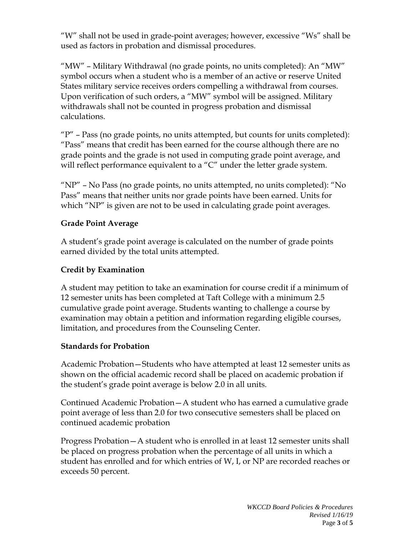"W" shall not be used in grade-point averages; however, excessive "Ws" shall be used as factors in probation and dismissal procedures.

"MW" – Military Withdrawal (no grade points, no units completed): An "MW" symbol occurs when a student who is a member of an active or reserve United States military service receives orders compelling a withdrawal from courses. Upon verification of such orders, a "MW" symbol will be assigned. Military withdrawals shall not be counted in progress probation and dismissal calculations.

" $P''$  – Pass (no grade points, no units attempted, but counts for units completed): "Pass" means that credit has been earned for the course although there are no grade points and the grade is not used in computing grade point average, and will reflect performance equivalent to a "C" under the letter grade system.

"NP" – No Pass (no grade points, no units attempted, no units completed): "No Pass" means that neither units nor grade points have been earned. Units for which "NP" is given are not to be used in calculating grade point averages.

#### **Grade Point Average**

A student's grade point average is calculated on the number of grade points earned divided by the total units attempted.

## **Credit by Examination**

A student may petition to take an examination for course credit if a minimum of 12 semester units has been completed at Taft College with a minimum 2.5 cumulative grade point average. Students wanting to challenge a course by examination may obtain a petition and information regarding eligible courses, limitation, and procedures from the Counseling Center.

#### **Standards for Probation**

Academic Probation—Students who have attempted at least 12 semester units as shown on the official academic record shall be placed on academic probation if the student's grade point average is below 2.0 in all units.

Continued Academic Probation—A student who has earned a cumulative grade point average of less than 2.0 for two consecutive semesters shall be placed on continued academic probation

Progress Probation—A student who is enrolled in at least 12 semester units shall be placed on progress probation when the percentage of all units in which a student has enrolled and for which entries of W, I, or NP are recorded reaches or exceeds 50 percent.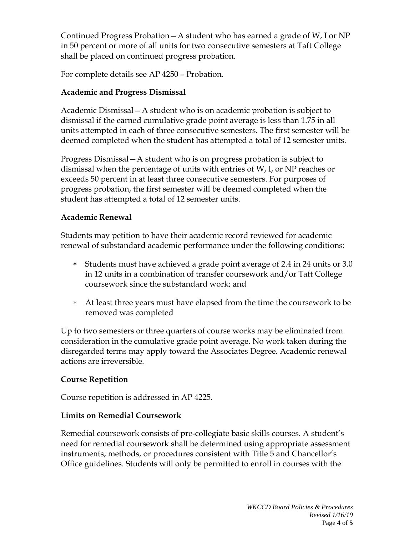Continued Progress Probation—A student who has earned a grade of W, I or NP in 50 percent or more of all units for two consecutive semesters at Taft College shall be placed on continued progress probation.

For complete details see AP 4250 – Probation.

## **Academic and Progress Dismissal**

Academic Dismissal—A student who is on academic probation is subject to dismissal if the earned cumulative grade point average is less than 1.75 in all units attempted in each of three consecutive semesters. The first semester will be deemed completed when the student has attempted a total of 12 semester units.

Progress Dismissal—A student who is on progress probation is subject to dismissal when the percentage of units with entries of W, I, or NP reaches or exceeds 50 percent in at least three consecutive semesters. For purposes of progress probation, the first semester will be deemed completed when the student has attempted a total of 12 semester units.

### **Academic Renewal**

Students may petition to have their academic record reviewed for academic renewal of substandard academic performance under the following conditions:

- ∗ Students must have achieved a grade point average of 2.4 in 24 units or 3.0 in 12 units in a combination of transfer coursework and/or Taft College coursework since the substandard work; and
- ∗ At least three years must have elapsed from the time the coursework to be removed was completed

Up to two semesters or three quarters of course works may be eliminated from consideration in the cumulative grade point average. No work taken during the disregarded terms may apply toward the Associates Degree. Academic renewal actions are irreversible.

## **Course Repetition**

Course repetition is addressed in AP 4225.

## **Limits on Remedial Coursework**

Remedial coursework consists of pre-collegiate basic skills courses. A student's need for remedial coursework shall be determined using appropriate assessment instruments, methods, or procedures consistent with Title 5 and Chancellor's Office guidelines. Students will only be permitted to enroll in courses with the